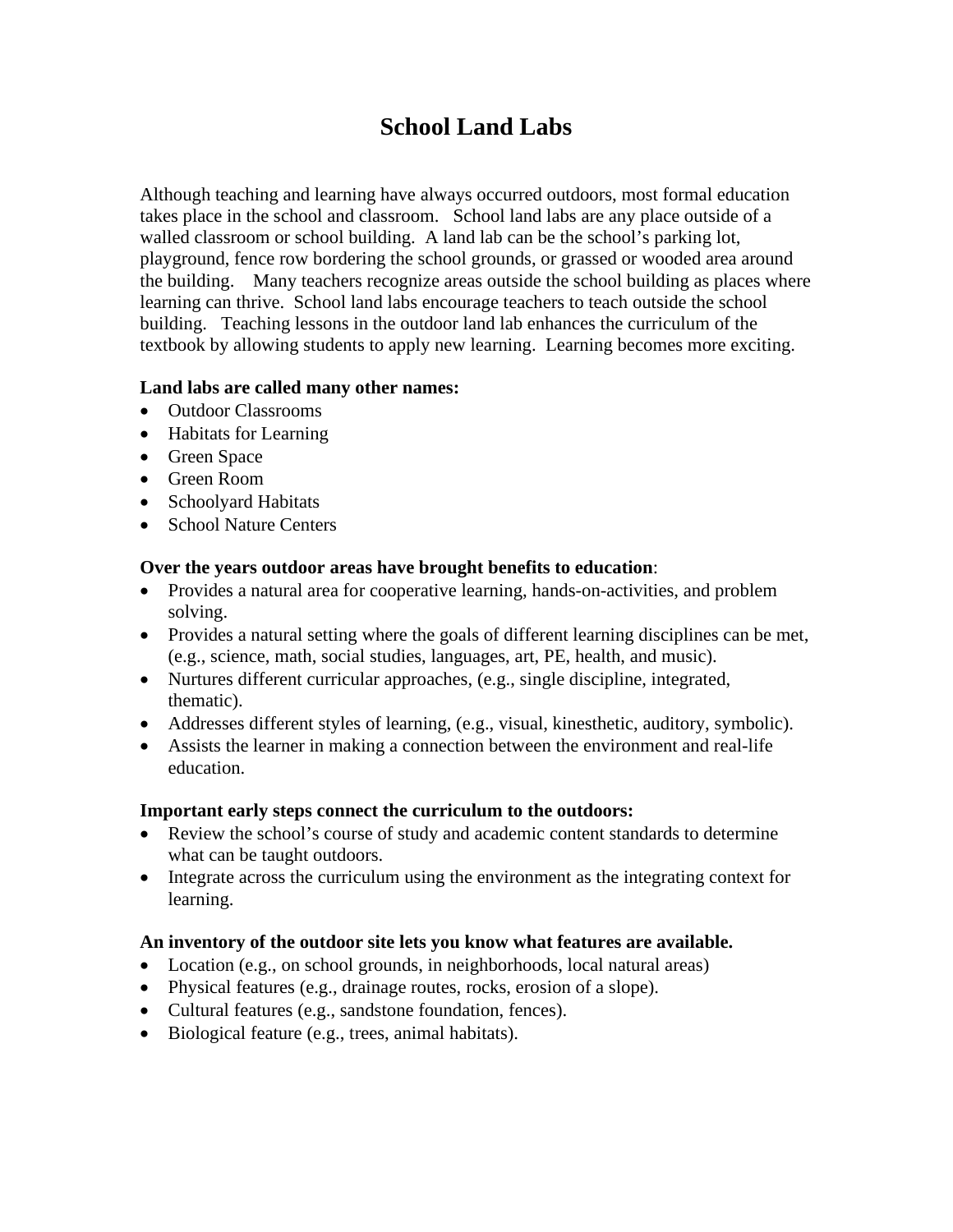# **School Land Labs**

Although teaching and learning have always occurred outdoors, most formal education takes place in the school and classroom. School land labs are any place outside of a walled classroom or school building. A land lab can be the school's parking lot, playground, fence row bordering the school grounds, or grassed or wooded area around the building. Many teachers recognize areas outside the school building as places where learning can thrive. School land labs encourage teachers to teach outside the school building. Teaching lessons in the outdoor land lab enhances the curriculum of the textbook by allowing students to apply new learning. Learning becomes more exciting.

# **Land labs are called many other names:**

- Outdoor Classrooms
- Habitats for Learning
- Green Space
- Green Room
- Schoolyard Habitats
- School Nature Centers

# **Over the years outdoor areas have brought benefits to education**:

- Provides a natural area for cooperative learning, hands-on-activities, and problem solving.
- Provides a natural setting where the goals of different learning disciplines can be met, (e.g., science, math, social studies, languages, art, PE, health, and music).
- Nurtures different curricular approaches, (e.g., single discipline, integrated, thematic).
- Addresses different styles of learning, (e.g., visual, kinesthetic, auditory, symbolic).
- Assists the learner in making a connection between the environment and real-life education.

# **Important early steps connect the curriculum to the outdoors:**

- Review the school's course of study and academic content standards to determine what can be taught outdoors.
- Integrate across the curriculum using the environment as the integrating context for learning.

# **An inventory of the outdoor site lets you know what features are available.**

- Location (e.g., on school grounds, in neighborhoods, local natural areas)
- Physical features (e.g., drainage routes, rocks, erosion of a slope).
- Cultural features (e.g., sandstone foundation, fences).
- Biological feature (e.g., trees, animal habitats).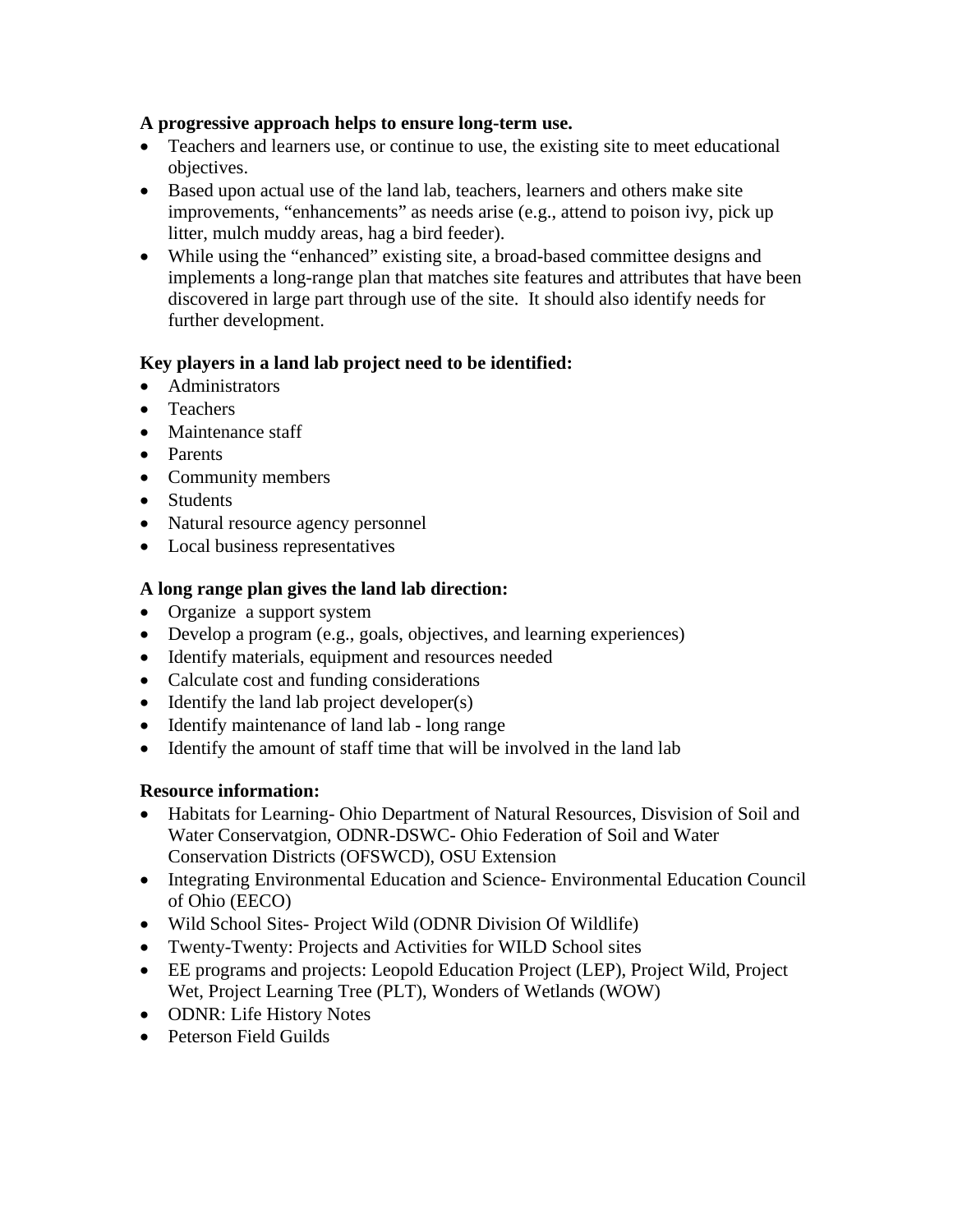#### **A progressive approach helps to ensure long-term use.**

- Teachers and learners use, or continue to use, the existing site to meet educational objectives.
- Based upon actual use of the land lab, teachers, learners and others make site improvements, "enhancements" as needs arise (e.g., attend to poison ivy, pick up litter, mulch muddy areas, hag a bird feeder).
- While using the "enhanced" existing site, a broad-based committee designs and implements a long-range plan that matches site features and attributes that have been discovered in large part through use of the site. It should also identify needs for further development.

# **Key players in a land lab project need to be identified:**

- Administrators
- Teachers
- Maintenance staff
- Parents
- Community members
- Students
- Natural resource agency personnel
- Local business representatives

# **A long range plan gives the land lab direction:**

- Organize a support system
- Develop a program (e.g., goals, objectives, and learning experiences)
- Identify materials, equipment and resources needed
- Calculate cost and funding considerations
- Identify the land lab project developer(s)
- Identify maintenance of land lab long range
- Identify the amount of staff time that will be involved in the land lab

# **Resource information:**

- Habitats for Learning- Ohio Department of Natural Resources, Disvision of Soil and Water Conservatgion, ODNR-DSWC- Ohio Federation of Soil and Water Conservation Districts (OFSWCD), OSU Extension
- Integrating Environmental Education and Science- Environmental Education Council of Ohio (EECO)
- Wild School Sites- Project Wild (ODNR Division Of Wildlife)
- Twenty-Twenty: Projects and Activities for WILD School sites
- EE programs and projects: Leopold Education Project (LEP), Project Wild, Project Wet, Project Learning Tree (PLT), Wonders of Wetlands (WOW)
- ODNR: Life History Notes
- Peterson Field Guilds